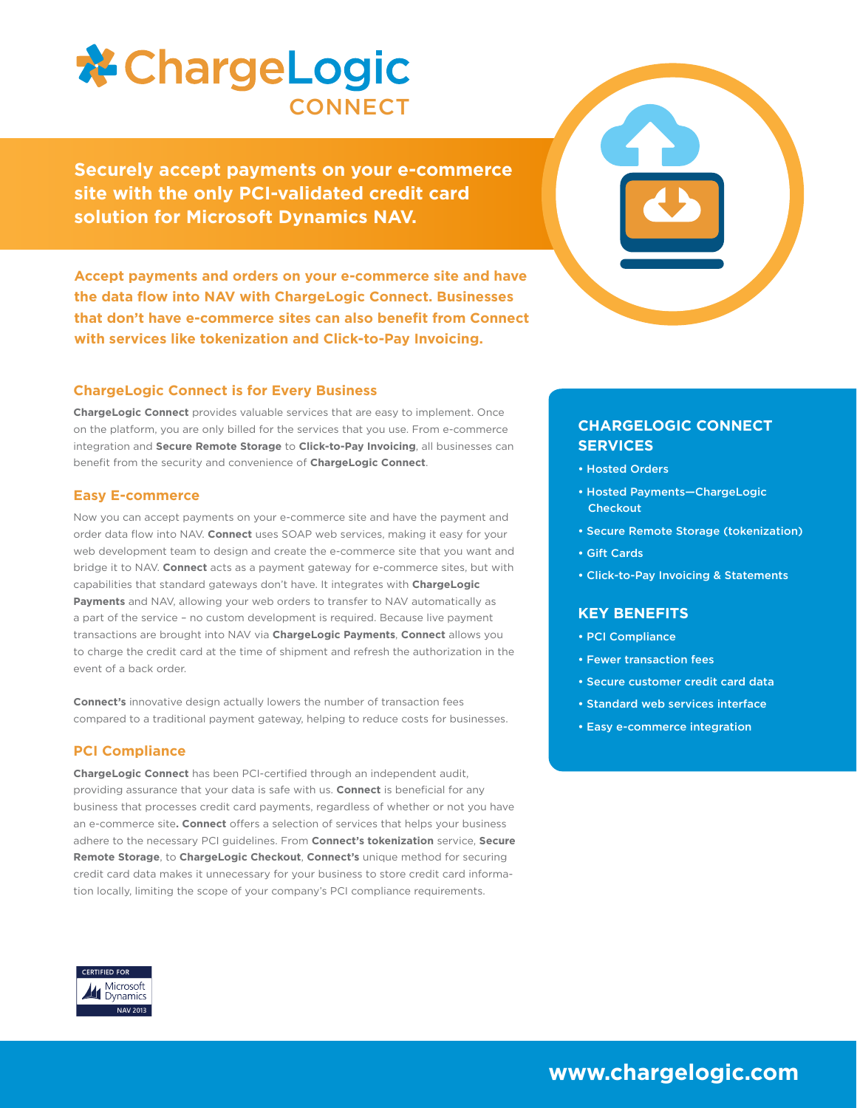

**Securely accept payments on your e-commerce site with the only PCI-validated credit card solution for Microsoft Dynamics NAV.**

**Accept payments and orders on your e-commerce site and have the data flow into NAV with ChargeLogic Connect. Businesses that don't have e-commerce sites can also benefit from Connect with services like tokenization and Click-to-Pay Invoicing.**

## **ChargeLogic Connect is for Every Business**

**ChargeLogic Connect** provides valuable services that are easy to implement. Once on the platform, you are only billed for the services that you use. From e-commerce integration and **Secure Remote Storage** to **Click-to-Pay Invoicing**, all businesses can benefit from the security and convenience of **ChargeLogic Connect**.

### **Easy E-commerce**

Now you can accept payments on your e-commerce site and have the payment and order data flow into NAV. **Connect** uses SOAP web services, making it easy for your web development team to design and create the e-commerce site that you want and bridge it to NAV. **Connect** acts as a payment gateway for e-commerce sites, but with capabilities that standard gateways don't have. It integrates with **ChargeLogic Payments** and NAV, allowing your web orders to transfer to NAV automatically as a part of the service – no custom development is required. Because live payment transactions are brought into NAV via **ChargeLogic Payments**, **Connect** allows you to charge the credit card at the time of shipment and refresh the authorization in the event of a back order.

**Connect's** innovative design actually lowers the number of transaction fees compared to a traditional payment gateway, helping to reduce costs for businesses.

### **PCI Compliance**

**ChargeLogic Connect** has been PCI-certified through an independent audit, providing assurance that your data is safe with us. **Connect** is beneficial for any business that processes credit card payments, regardless of whether or not you have an e-commerce site. **Connect** offers a selection of services that helps your business adhere to the necessary PCI guidelines. From **Connect's tokenization** service, **Secure Remote Storage**, to **ChargeLogic Checkout**, **Connect's** unique method for securing credit card data makes it unnecessary for your business to store credit card information locally, limiting the scope of your company's PCI compliance requirements.



## **CHARGELOGIC CONNECT SERVICES**

- Hosted Orders
- Hosted Payments—ChargeLogic **Checkout**
- Secure Remote Storage (tokenization)
- Gift Cards
- Click-to-Pay Invoicing & Statements

### **KEY BENEFITS**

- PCI Compliance
- Fewer transaction fees
- Secure customer credit card data
- Standard web services interface
- Easy e-commerce integration